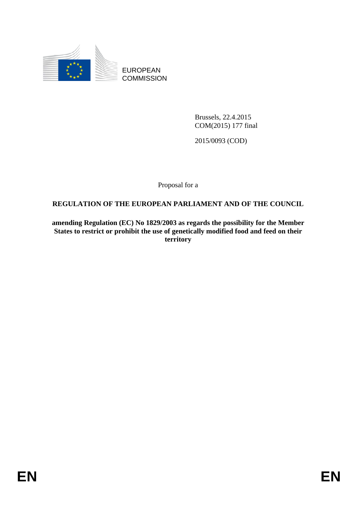

EUROPEAN **COMMISSION** 

> Brussels, 22.4.2015 COM(2015) 177 final

2015/0093 (COD)

Proposal for a

# **REGULATION OF THE EUROPEAN PARLIAMENT AND OF THE COUNCIL**

**amending Regulation (EC) No 1829/2003 as regards the possibility for the Member States to restrict or prohibit the use of genetically modified food and feed on their territory**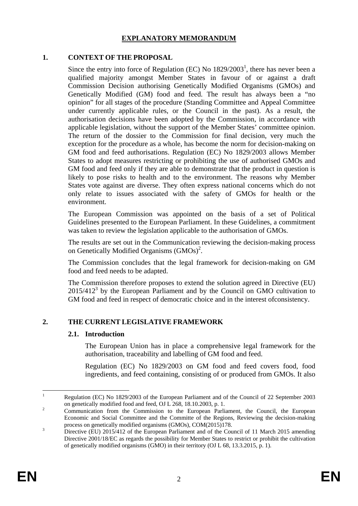#### **EXPLANATORY MEMORANDUM**

#### **1. CONTEXT OF THE PROPOSAL**

Since the entry into force of Regulation  $(EC)$  No  $1829/2003<sup>1</sup>$ , there has never been a qualified majority amongst Member States in favour of or against a draft Commission Decision authorising Genetically Modified Organisms (GMOs) and Genetically Modified (GM) food and feed. The result has always been a "no opinion" for all stages of the procedure (Standing Committee and Appeal Committee under currently applicable rules, or the Council in the past). As a result, the authorisation decisions have been adopted by the Commission, in accordance with applicable legislation, without the support of the Member States' committee opinion. The return of the dossier to the Commission for final decision, very much the exception for the procedure as a whole, has become the norm for decision-making on GM food and feed authorisations. Regulation (EC) No 1829/2003 allows Member States to adopt measures restricting or prohibiting the use of authorised GMOs and GM food and feed only if they are able to demonstrate that the product in question is likely to pose risks to health and to the environment. The reasons why Member States vote against are diverse. They often express national concerns which do not only relate to issues associated with the safety of GMOs for health or the environment.

The European Commission was appointed on the basis of a set of Political Guidelines presented to the European Parliament. In these Guidelines, a commitment was taken to review the legislation applicable to the authorisation of GMOs.

The results are set out in the Communication reviewing the decision-making process on Genetically Modified Organisms (GMOs)<sup>2</sup>.

The Commission concludes that the legal framework for decision-making on GM food and feed needs to be adapted.

The Commission therefore proposes to extend the solution agreed in Directive (EU) 2015/4123 by the European Parliament and by the Council on GMO cultivation to GM food and feed in respect of democratic choice and in the interest ofconsistency.

# **2. THE CURRENT LEGISLATIVE FRAMEWORK**

#### **2.1. Introduction**

The European Union has in place a comprehensive legal framework for the authorisation, traceability and labelling of GM food and feed.

Regulation (EC) No 1829/2003 on GM food and feed covers food, food ingredients, and feed containing, consisting of or produced from GMOs. It also

 $\frac{1}{1}$  Regulation (EC) No 1829/2003 of the European Parliament and of the Council of 22 September 2003 on genetically modified food and feed, OJ L 268, 18.10.2003, p. 1.

Communication from the Commission to the European Parliament, the Council, the European Economic and Social Committee and the Committe of the Regions, Reviewing the decision-making process on genetically modified organisms (GMOs), COM(2015)178.

Directive (EU) 2015/412 of the European Parliament and of the Council of 11 March 2015 amending Directive 2001/18/EC as regards the possibility for Member States to restrict or prohibit the cultivation of genetically modified organisms (GMO) in their territory (OJ L 68, 13.3.2015, p. 1).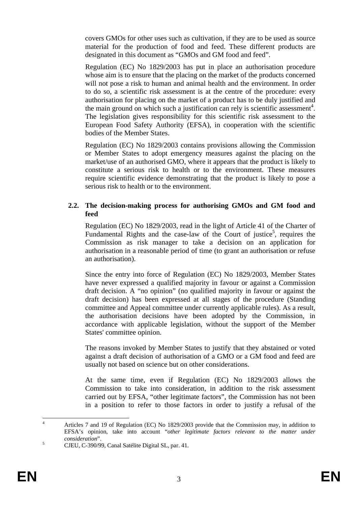covers GMOs for other uses such as cultivation, if they are to be used as source material for the production of food and feed. These different products are designated in this document as "GMOs and GM food and feed".

Regulation (EC) No 1829/2003 has put in place an authorisation procedure whose aim is to ensure that the placing on the market of the products concerned will not pose a risk to human and animal health and the environment. In order to do so, a scientific risk assessment is at the centre of the procedure: every authorisation for placing on the market of a product has to be duly justified and the main ground on which such a justification can rely is scientific assessment<sup>4</sup>. The legislation gives responsibility for this scientific risk assessment to the European Food Safety Authority (EFSA), in cooperation with the scientific bodies of the Member States.

Regulation (EC) No 1829/2003 contains provisions allowing the Commission or Member States to adopt emergency measures against the placing on the market/use of an authorised GMO, where it appears that the product is likely to constitute a serious risk to health or to the environment. These measures require scientific evidence demonstrating that the product is likely to pose a serious risk to health or to the environment.

### **2.2. The decision-making process for authorising GMOs and GM food and feed**

Regulation (EC) No 1829/2003, read in the light of Article 41 of the Charter of Fundamental Rights and the case-law of the Court of justice<sup>5</sup>, requires the Commission as risk manager to take a decision on an application for authorisation in a reasonable period of time (to grant an authorisation or refuse an authorisation).

Since the entry into force of Regulation (EC) No 1829/2003, Member States have never expressed a qualified majority in favour or against a Commission draft decision. A "no opinion" (no qualified majority in favour or against the draft decision) has been expressed at all stages of the procedure (Standing committee and Appeal committee under currently applicable rules). As a result, the authorisation decisions have been adopted by the Commission, in accordance with applicable legislation, without the support of the Member States' committee opinion.

The reasons invoked by Member States to justify that they abstained or voted against a draft decision of authorisation of a GMO or a GM food and feed are usually not based on science but on other considerations.

At the same time, even if Regulation (EC) No 1829/2003 allows the Commission to take into consideration, in addition to the risk assessment carried out by EFSA, "other legitimate factors", the Commission has not been in a position to refer to those factors in order to justify a refusal of the

 $\frac{1}{4}$  Articles 7 and 19 of Regulation (EC) No 1829/2003 provide that the Commission may, in addition to EFSA's opinion, take into account "*other legitimate factors relevant to the matter under consideration*". 5

CJEU, C-390/99, Canal Satélite Digital SL, par. 41.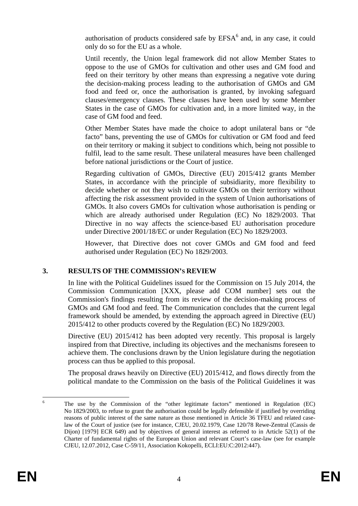authorisation of products considered safe by  $EFSA<sup>6</sup>$  and, in any case, it could only do so for the EU as a whole.

Until recently, the Union legal framework did not allow Member States to oppose to the use of GMOs for cultivation and other uses and GM food and feed on their territory by other means than expressing a negative vote during the decision-making process leading to the authorisation of GMOs and GM food and feed or, once the authorisation is granted, by invoking safeguard clauses/emergency clauses. These clauses have been used by some Member States in the case of GMOs for cultivation and, in a more limited way, in the case of GM food and feed.

Other Member States have made the choice to adopt unilateral bans or "de facto" bans, preventing the use of GMOs for cultivation or GM food and feed on their territory or making it subject to conditions which, being not possible to fulfil, lead to the same result. These unilateral measures have been challenged before national jurisdictions or the Court of justice.

Regarding cultivation of GMOs, Directive (EU) 2015/412 grants Member States, in accordance with the principle of subsidiarity, more flexibility to decide whether or not they wish to cultivate GMOs on their territory without affecting the risk assessment provided in the system of Union authorisations of GMOs. It also covers GMOs for cultivation whose authorisation is pending or which are already authorised under Regulation (EC) No 1829/2003. That Directive in no way affects the science-based EU authorisation procedure under Directive 2001/18/EC or under Regulation (EC) No 1829/2003.

However, that Directive does not cover GMOs and GM food and feed authorised under Regulation (EC) No 1829/2003.

# **3. RESULTS OF THE COMMISSION'S REVIEW**

In line with the Political Guidelines issued for the Commission on 15 July 2014, the Commission Communication [XXX, please add COM number] sets out the Commission's findings resulting from its review of the decision-making process of GMOs and GM food and feed. The Communication concludes that the current legal framework should be amended, by extending the approach agreed in Directive (EU) 2015/412 to other products covered by the Regulation (EC) No 1829/2003.

Directive (EU) 2015/412 has been adopted very recently. This proposal is largely inspired from that Directive, including its objectives and the mechanisms foreseen to achieve them. The conclusions drawn by the Union legislature during the negotiation process can thus be applied to this proposal.

The proposal draws heavily on Directive (EU) 2015/412, and flows directly from the political mandate to the Commission on the basis of the Political Guidelines it was

 $\frac{1}{6}$  The use by the Commission of the "other legitimate factors" mentioned in Regulation (EC) No 1829/2003, to refuse to grant the authorisation could be legally defensible if justified by overriding reasons of public interest of the same nature as those mentioned in Article 36 TFEU and related caselaw of the Court of justice (see for instance, CJEU, 20.02.1979, Case 120/78 Rewe-Zentral (Cassis de Dijon) [1979] ECR 649) and by objectives of general interest as referred to in Article 52(1) of the Charter of fundamental rights of the European Union and relevant Court's case-law (see for example CJEU, 12.07.2012, Case C-59/11, Association Kokopelli, ECLI:EU:C:2012:447).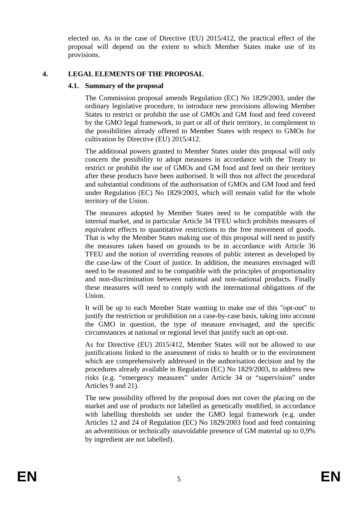elected on. As in the case of Directive (EU) 2015/412, the practical effect of the proposal will depend on the extent to which Member States make use of its provisions.

### **4. LEGAL ELEMENTS OF THE PROPOSAL**

#### **4.1. Summary of the proposal**

The Commission proposal amends Regulation (EC) No 1829/2003, under the ordinary legislative procedure, to introduce new provisions allowing Member States to restrict or prohibit the use of GMOs and GM food and feed covered by the GMO legal framework, in part or all of their territory, in complement to the possibilities already offered to Member States with respect to GMOs for cultivation by Directive (EU) 2015/412.

The additional powers granted to Member States under this proposal will only concern the possibility to adopt measures in accordance with the Treaty to restrict or prohibit the use of GMOs and GM food and feed on their territory after these products have been authorised. It will thus not affect the procedural and substantial conditions of the authorisation of GMOs and GM food and feed under Regulation (EC) No 1829/2003, which will remain valid for the whole territory of the Union.

The measures adopted by Member States need to be compatible with the internal market, and in particular Article 34 TFEU which prohibits measures of equivalent effects to quantitative restrictions to the free movement of goods. That is why the Member States making use of this proposal will need to justify the measures taken based on grounds to be in accordance with Article 36 TFEU and the notion of overriding reasons of public interest as developed by the case-law of the Court of justice. In addition, the measures envisaged will need to be reasoned and to be compatible with the principles of proportionality and non-discrimination between national and non-national products. Finally these measures will need to comply with the international obligations of the Union.

It will be up to each Member State wanting to make use of this "opt-out" to justify the restriction or prohibition on a case-by-case basis, taking into account the GMO in question, the type of measure envisaged, and the specific circumstances at national or regional level that justify such an opt-out.

As for Directive (EU) 2015/412, Member States will not be allowed to use justifications linked to the assessment of risks to health or to the environment which are comprehensively addressed in the authorisation decision and by the procedures already available in Regulation (EC) No 1829/2003, to address new risks (e.g. "emergency measures" under Article 34 or "supervision" under Articles 9 and 21).

The new possibility offered by the proposal does not cover the placing on the market and use of products not labelled as genetically modified, in accordance with labelling thresholds set under the GMO legal framework (e.g. under Articles 12 and 24 of Regulation (EC) No 1829/2003 food and feed containing an adventitious or technically unavoidable presence of GM material up to 0,9% by ingredient are not labelled).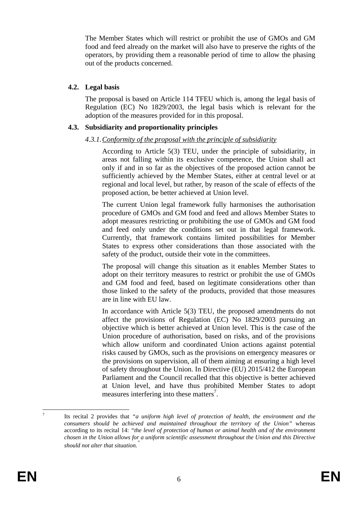The Member States which will restrict or prohibit the use of GMOs and GM food and feed already on the market will also have to preserve the rights of the operators, by providing them a reasonable period of time to allow the phasing out of the products concerned.

### **4.2. Legal basis**

The proposal is based on Article 114 TFEU which is, among the legal basis of Regulation (EC) No 1829/2003, the legal basis which is relevant for the adoption of the measures provided for in this proposal.

### **4.3. Subsidiarity and proportionality principles**

### *4.3.1. Conformity of the proposal with the principle of subsidiarity*

According to Article 5(3) TEU, under the principle of subsidiarity, in areas not falling within its exclusive competence, the Union shall act only if and in so far as the objectives of the proposed action cannot be sufficiently achieved by the Member States, either at central level or at regional and local level, but rather, by reason of the scale of effects of the proposed action, be better achieved at Union level.

The current Union legal framework fully harmonises the authorisation procedure of GMOs and GM food and feed and allows Member States to adopt measures restricting or prohibiting the use of GMOs and GM food and feed only under the conditions set out in that legal framework. Currently, that framework contains limited possibilities for Member States to express other considerations than those associated with the safety of the product, outside their vote in the committees.

The proposal will change this situation as it enables Member States to adopt on their territory measures to restrict or prohibit the use of GMOs and GM food and feed, based on legitimate considerations other than those linked to the safety of the products, provided that those measures are in line with EU law.

In accordance with Article 5(3) TEU, the proposed amendments do not affect the provisions of Regulation (EC) No 1829/2003 pursuing an objective which is better achieved at Union level. This is the case of the Union procedure of authorisation, based on risks, and of the provisions which allow uniform and coordinated Union actions against potential risks caused by GMOs, such as the provisions on emergency measures or the provisions on supervision, all of them aiming at ensuring a high level of safety throughout the Union. In Directive (EU) 2015/412 the European Parliament and the Council recalled that this objective is better achieved at Union level, and have thus prohibited Member States to adopt measures interfering into these matters<sup>7</sup>.

<sup>&</sup>lt;u>.</u> 7 Its recital 2 provides that *"a uniform high level of protection of health, the environment and the consumers should be achieved and maintained throughout the territory of the Union"* whereas according to its recital 14: *"the level of protection of human or animal health and of the environment chosen in the Union allows for a uniform scientific assessment throughout the Union and this Directive should not alter that situation."*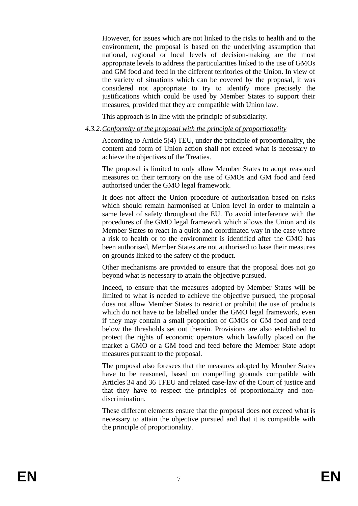However, for issues which are not linked to the risks to health and to the environment, the proposal is based on the underlying assumption that national, regional or local levels of decision-making are the most appropriate levels to address the particularities linked to the use of GMOs and GM food and feed in the different territories of the Union. In view of the variety of situations which can be covered by the proposal, it was considered not appropriate to try to identify more precisely the justifications which could be used by Member States to support their measures, provided that they are compatible with Union law.

This approach is in line with the principle of subsidiarity.

### *4.3.2. Conformity of the proposal with the principle of proportionality*

According to Article 5(4) TEU, under the principle of proportionality, the content and form of Union action shall not exceed what is necessary to achieve the objectives of the Treaties.

The proposal is limited to only allow Member States to adopt reasoned measures on their territory on the use of GMOs and GM food and feed authorised under the GMO legal framework.

It does not affect the Union procedure of authorisation based on risks which should remain harmonised at Union level in order to maintain a same level of safety throughout the EU. To avoid interference with the procedures of the GMO legal framework which allows the Union and its Member States to react in a quick and coordinated way in the case where a risk to health or to the environment is identified after the GMO has been authorised, Member States are not authorised to base their measures on grounds linked to the safety of the product.

Other mechanisms are provided to ensure that the proposal does not go beyond what is necessary to attain the objective pursued.

Indeed, to ensure that the measures adopted by Member States will be limited to what is needed to achieve the objective pursued, the proposal does not allow Member States to restrict or prohibit the use of products which do not have to be labelled under the GMO legal framework, even if they may contain a small proportion of GMOs or GM food and feed below the thresholds set out therein. Provisions are also established to protect the rights of economic operators which lawfully placed on the market a GMO or a GM food and feed before the Member State adopt measures pursuant to the proposal.

The proposal also foresees that the measures adopted by Member States have to be reasoned, based on compelling grounds compatible with Articles 34 and 36 TFEU and related case-law of the Court of justice and that they have to respect the principles of proportionality and nondiscrimination.

These different elements ensure that the proposal does not exceed what is necessary to attain the objective pursued and that it is compatible with the principle of proportionality.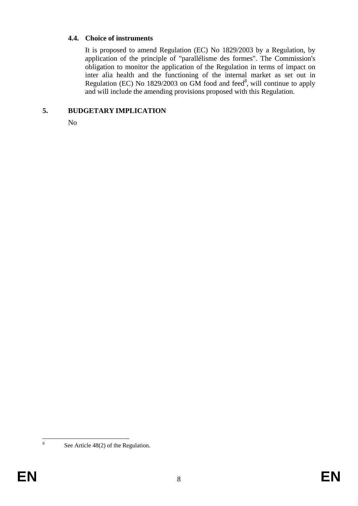#### **4.4. Choice of instruments**

It is proposed to amend Regulation (EC) No 1829/2003 by a Regulation, by application of the principle of "parallélisme des formes". The Commission's obligation to monitor the application of the Regulation in terms of impact on inter alia health and the functioning of the internal market as set out in Regulation (EC) No 1829/2003 on  $\overline{GM}$  food and feed<sup>8</sup>, will continue to apply and will include the amending provisions proposed with this Regulation.

### **5. BUDGETARY IMPLICATION**

No

 $\frac{1}{8}$ 

See Article 48(2) of the Regulation.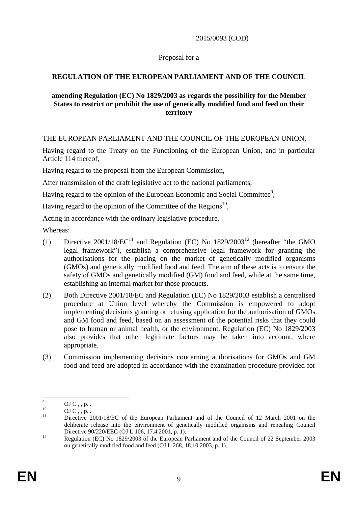2015/0093 (COD)

### Proposal for a

# **REGULATION OF THE EUROPEAN PARLIAMENT AND OF THE COUNCIL**

### **amending Regulation (EC) No 1829/2003 as regards the possibility for the Member States to restrict or prohibit the use of genetically modified food and feed on their territory**

THE EUROPEAN PARLIAMENT AND THE COUNCIL OF THE EUROPEAN UNION,

Having regard to the Treaty on the Functioning of the European Union, and in particular Article 114 thereof,

Having regard to the proposal from the European Commission,

After transmission of the draft legislative act to the national parliaments,

Having regard to the opinion of the European Economic and Social Committee<sup>9</sup>,

Having regard to the opinion of the Committee of the Regions<sup>10</sup>,

Acting in accordance with the ordinary legislative procedure,

Whereas:

- (1) Directive 2001/18/ $EC^{11}$  and Regulation (EC) No  $1829/2003^{12}$  (hereafter "the GMO legal framework"), establish a comprehensive legal framework for granting the authorisations for the placing on the market of genetically modified organisms (GMOs) and genetically modified food and feed. The aim of these acts is to ensure the safety of GMOs and genetically modified (GM) food and feed, while at the same time, establishing an internal market for those products.
- (2) Both Directive 2001/18/EC and Regulation (EC) No 1829/2003 establish a centralised procedure at Union level whereby the Commission is empowered to adopt implementing decisions granting or refusing application for the authorisation of GMOs and GM food and feed, based on an assessment of the potential risks that they could pose to human or animal health, or the environment. Regulation (EC) No 1829/2003 also provides that other legitimate factors may be taken into account, where appropriate.
- (3) Commission implementing decisions concerning authorisations for GMOs and GM food and feed are adopted in accordance with the examination procedure provided for

<sup>-&</sup>lt;br>9  $^{9}$  OJ C, , p. .

 $\frac{10}{11}$  OJ C, , p.

Directive 2001/18/EC of the European Parliament and of the Council of 12 March 2001 on the deliberate release into the environment of genetically modified organisms and repealing Council Directive 90/220/EEC (OJ L 106, 17.4.2001, p. 1).<br>Regulation (EC) No 1829/2003 of the European Parliament and of the Council of 22 September 2003

on genetically modified food and feed (OJ L 268, 18.10.2003, p. 1).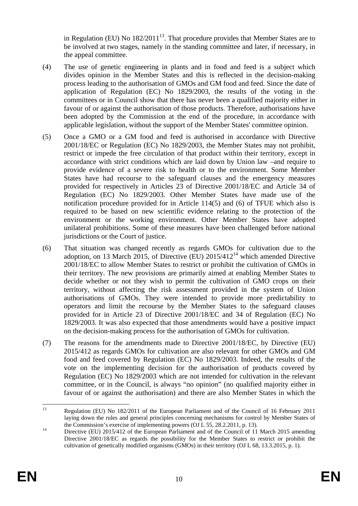in Regulation (EU) No  $182/2011^{13}$ . That procedure provides that Member States are to be involved at two stages, namely in the standing committee and later, if necessary, in the appeal committee.

- (4) The use of genetic engineering in plants and in food and feed is a subject which divides opinion in the Member States and this is reflected in the decision-making process leading to the authorisation of GMOs and GM food and feed. Since the date of application of Regulation (EC) No 1829/2003, the results of the voting in the committees or in Council show that there has never been a qualified majority either in favour of or against the authorisation of those products. Therefore, authorisations have been adopted by the Commission at the end of the procedure, in accordance with applicable legislation, without the support of the Member States' committee opinion.
- (5) Once a GMO or a GM food and feed is authorised in accordance with Directive 2001/18/EC or Regulation (EC) No 1829/2003, the Member States may not prohibit, restrict or impede the free circulation of that product within their territory, except in accordance with strict conditions which are laid down by Union law –and require to provide evidence of a severe risk to health or to the environment. Some Member States have had recourse to the safeguard clauses and the emergency measures provided for respectively in Articles 23 of Directive 2001/18/EC and Article 34 of Regulation (EC) No 1829/2003. Other Member States have made use of the notification procedure provided for in Article 114(5) and (6) of TFUE which also is required to be based on new scientific evidence relating to the protection of the environment or the working environment. Other Member States have adopted unilateral prohibitions. Some of these measures have been challenged before national jurisdictions or the Court of justice.
- (6) That situation was changed recently as regards GMOs for cultivation due to the adoption, on 13 March 2015, of Directive (EU)  $2015/412^{14}$  which amended Directive 2001/18/EC to allow Member States to restrict or prohibit the cultivation of GMOs in their territory. The new provisions are primarily aimed at enabling Member States to decide whether or not they wish to permit the cultivation of GMO crops on their territory, without affecting the risk assessment provided in the system of Union authorisations of GMOs. They were intended to provide more predictability to operators and limit the recourse by the Member States to the safeguard clauses provided for in Article 23 of Directive 2001/18/EC and 34 of Regulation (EC) No 1829/2003. It was also expected that those amendments would have a positive impact on the decision-making process for the authorisation of GMOs for cultivation.
- (7) The reasons for the amendments made to Directive 2001/18/EC, by Directive (EU) 2015/412 as regards GMOs for cultivation are also relevant for other GMOs and GM food and feed covered by Regulation (EC) No 1829/2003. Indeed, the results of the vote on the implementing decision for the authorisation of products covered by Regulation (EC) No 1829/2003 which are not intended for cultivation in the relevant committee, or in the Council, is always "no opinion" (no qualified majority either in favour of or against the authorisation) and there are also Member States in which the

 $13$ 13 Regulation (EU) No 182/2011 of the European Parliament and of the Council of 16 February 2011 laying down the rules and general principles concerning mechanisms for control by Member States of the Commission's exercise of implementing powers (OJ L 55, 28.2.2011, p. 13).<br><sup>14</sup> Directive (EU) 2015/412 of the European Parliament and of the Council of 11 March 2015 amending

Directive 2001/18/EC as regards the possibility for the Member States to restrict or prohibit the cultivation of genetically modified organisms (GMOs) in their territory (OJ L 68, 13.3.2015, p. 1).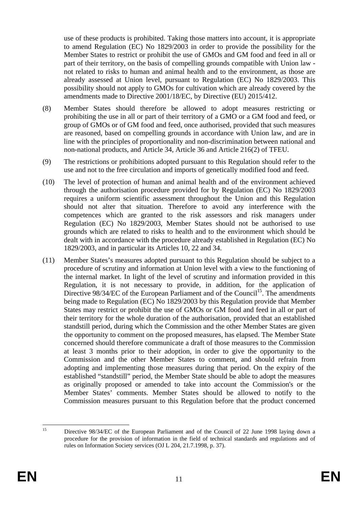use of these products is prohibited. Taking those matters into account, it is appropriate to amend Regulation (EC) No 1829/2003 in order to provide the possibility for the Member States to restrict or prohibit the use of GMOs and GM food and feed in all or part of their territory, on the basis of compelling grounds compatible with Union law not related to risks to human and animal health and to the environment, as those are already assessed at Union level, pursuant to Regulation (EC) No 1829/2003. This possibility should not apply to GMOs for cultivation which are already covered by the amendments made to Directive 2001/18/EC, by Directive (EU) 2015/412.

- (8) Member States should therefore be allowed to adopt measures restricting or prohibiting the use in all or part of their territory of a GMO or a GM food and feed, or group of GMOs or of GM food and feed, once authorised, provided that such measures are reasoned, based on compelling grounds in accordance with Union law, and are in line with the principles of proportionality and non-discrimination between national and non-national products, and Article 34, Article 36 and Article 216(2) of TFEU.
- (9) The restrictions or prohibitions adopted pursuant to this Regulation should refer to the use and not to the free circulation and imports of genetically modified food and feed.
- (10) The level of protection of human and animal health and of the environment achieved through the authorisation procedure provided for by Regulation (EC) No 1829/2003 requires a uniform scientific assessment throughout the Union and this Regulation should not alter that situation. Therefore to avoid any interference with the competences which are granted to the risk assessors and risk managers under Regulation (EC) No 1829/2003, Member States should not be authorised to use grounds which are related to risks to health and to the environment which should be dealt with in accordance with the procedure already established in Regulation (EC) No 1829/2003, and in particular its Articles 10, 22 and 34.
- (11) Member States's measures adopted pursuant to this Regulation should be subject to a procedure of scrutiny and information at Union level with a view to the functioning of the internal market. In light of the level of scrutiny and information provided in this Regulation, it is not necessary to provide, in addition, for the application of Directive  $98/34/EC$  of the European Parliament and of the Council<sup>15</sup>. The amendments being made to Regulation (EC) No 1829/2003 by this Regulation provide that Member States may restrict or prohibit the use of GMOs or GM food and feed in all or part of their territory for the whole duration of the authorisation, provided that an established standstill period, during which the Commission and the other Member States are given the opportunity to comment on the proposed measures, has elapsed. The Member State concerned should therefore communicate a draft of those measures to the Commission at least 3 months prior to their adoption, in order to give the opportunity to the Commission and the other Member States to comment, and should refrain from adopting and implementing those measures during that period. On the expiry of the established "standstill" period, the Member State should be able to adopt the measures as originally proposed or amended to take into account the Commission's or the Member States' comments. Member States should be allowed to notify to the Commission measures pursuant to this Regulation before that the product concerned

 $15$ Directive 98/34/EC of the European Parliament and of the Council of 22 June 1998 laying down a procedure for the provision of information in the field of technical standards and regulations and of rules on Information Society services (OJ L 204, 21.7.1998, p. 37).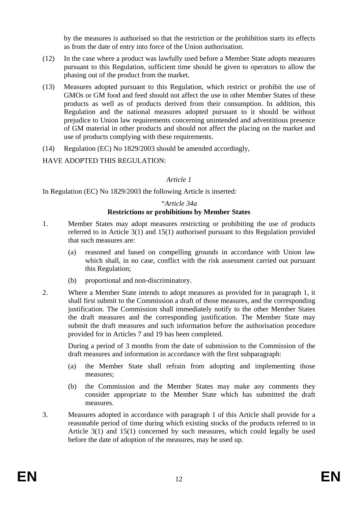by the measures is authorised so that the restriction or the prohibition starts its effects as from the date of entry into force of the Union authorisation.

- (12) In the case where a product was lawfully used before a Member State adopts measures pursuant to this Regulation, sufficient time should be given to operators to allow the phasing out of the product from the market.
- (13) Measures adopted pursuant to this Regulation, which restrict or prohibit the use of GMOs or GM food and feed should not affect the use in other Member States of these products as well as of products derived from their consumption. In addition, this Regulation and the national measures adopted pursuant to it should be without prejudice to Union law requirements concerning unintended and adventitious presence of GM material in other products and should not affect the placing on the market and use of products complying with these requirements.
- (14) Regulation (EC) No 1829/2003 should be amended accordingly,

# HAVE ADOPTED THIS REGULATION:

### *Article 1*

In Regulation (EC) No 1829/2003 the following Article is inserted:

#### *"Article 34a*  **Restrictions or prohibitions by Member States**

- 1. Member States may adopt measures restricting or prohibiting the use of products referred to in Article 3(1) and 15(1) authorised pursuant to this Regulation provided that such measures are:
	- (a) reasoned and based on compelling grounds in accordance with Union law which shall, in no case, conflict with the risk assessment carried out pursuant this Regulation;
	- (b) proportional and non-discriminatory.
- 2. Where a Member State intends to adopt measures as provided for in paragraph 1, it shall first submit to the Commission a draft of those measures, and the corresponding justification. The Commission shall immediately notify to the other Member States the draft measures and the corresponding justification. The Member State may submit the draft measures and such information before the authorisation procedure provided for in Articles 7 and 19 has been completed.

During a period of 3 months from the date of submission to the Commission of the draft measures and information in accordance with the first subparagraph:

- (a) the Member State shall refrain from adopting and implementing those measures;
- (b) the Commission and the Member States may make any comments they consider appropriate to the Member State which has submitted the draft measures.
- 3. Measures adopted in accordance with paragraph 1 of this Article shall provide for a reasonable period of time during which existing stocks of the products referred to in Article 3(1) and 15(1) concerned by such measures, which could legally be used before the date of adoption of the measures, may be used up.